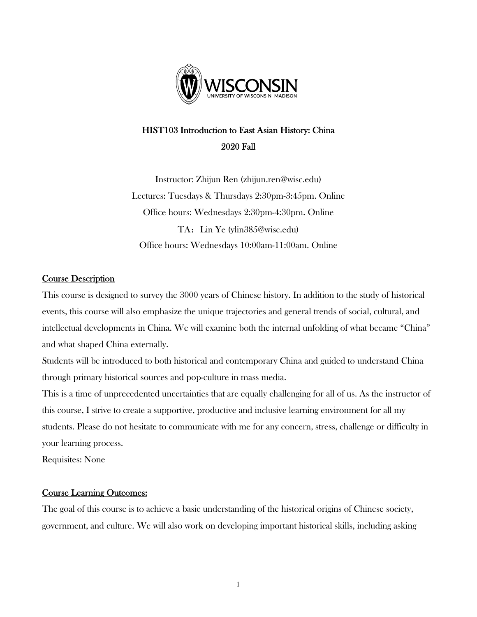

# HIST103 Introduction to East Asian History: China 2020 Fall

Instructor: Zhijun Ren (zhijun.ren@wisc.edu) Lectures: Tuesdays & Thursdays 2:30pm-3:45pm. Online Office hours: Wednesdays 2:30pm-4:30pm. Online TA: Lin Ye (ylin385@wisc.edu) Office hours: Wednesdays 10:00am-11:00am. Online

# Course Description

This course is designed to survey the 3000 years of Chinese history. In addition to the study of historical events, this course will also emphasize the unique trajectories and general trends of social, cultural, and intellectual developments in China. We will examine both the internal unfolding of what became "China" and what shaped China externally.

Students will be introduced to both historical and contemporary China and guided to understand China through primary historical sources and pop-culture in mass media.

This is a time of unprecedented uncertainties that are equally challenging for all of us. As the instructor of this course, I strive to create a supportive, productive and inclusive learning environment for all my students. Please do not hesitate to communicate with me for any concern, stress, challenge or difficulty in your learning process.

Requisites: None

### Course Learning Outcomes:

The goal of this course is to achieve a basic understanding of the historical origins of Chinese society, government, and culture. We will also work on developing important historical skills, including asking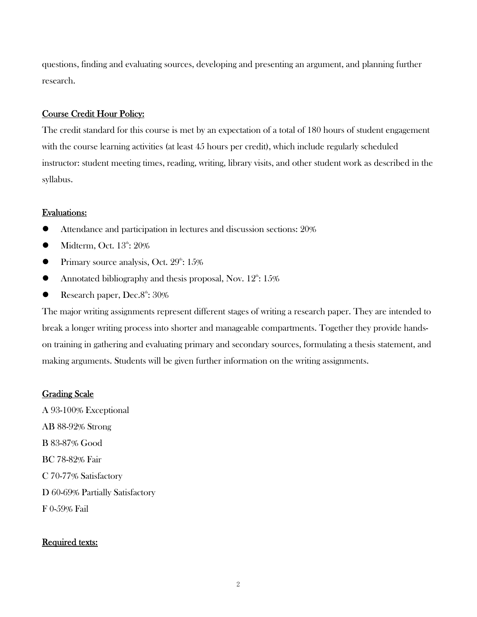questions, finding and evaluating sources, developing and presenting an argument, and planning further research.

### Course Credit Hour Policy:

The credit standard for this course is met by an expectation of a total of 180 hours of student engagement with the course learning activities (at least 45 hours per credit), which include regularly scheduled instructor: student meeting times, reading, writing, library visits, and other student work as described in the syllabus.

### Evaluations:

- Attendance and participation in lectures and discussion sections: 20%
- $\bullet$  Midterm, Oct.  $13^{\text{th}}: 20\%$
- **•** Primary source analysis, Oct.  $29^{\text{th}}$ :  $15\%$
- Annotated bibliography and thesis proposal, Nov.  $12^{\text{th}}: 15\%$
- Research paper,  $Dec.8^{\text{th}}: 30\%$

The major writing assignments represent different stages of writing a research paper. They are intended to break a longer writing process into shorter and manageable compartments. Together they provide handson training in gathering and evaluating primary and secondary sources, formulating a thesis statement, and making arguments. Students will be given further information on the writing assignments.

#### Grading Scale

A 93-100% Exceptional AB 88-92% Strong B 83-87% Good BC 78-82% Fair C 70-77% Satisfactory D 60-69% Partially Satisfactory F 0-59% Fail

#### Required texts: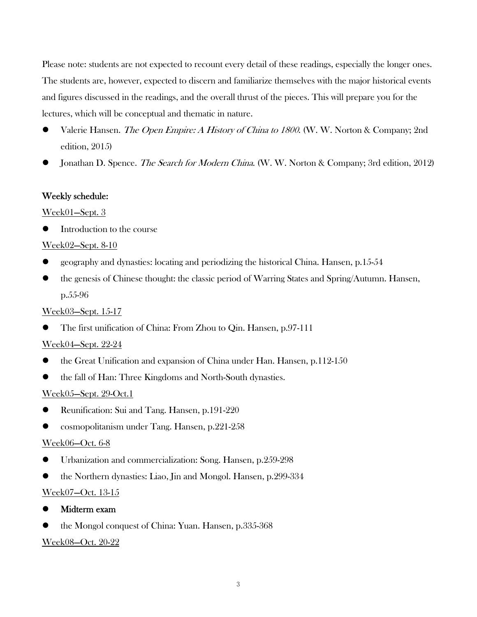Please note: students are not expected to recount every detail of these readings, especially the longer ones. The students are, however, expected to discern and familiarize themselves with the major historical events and figures discussed in the readings, and the overall thrust of the pieces. This will prepare you for the lectures, which will be conceptual and thematic in nature.

- Valerie Hansen. The Open Empire: A History of China to 1800. (W. W. Norton & Company; 2nd edition, 2015)
- Jonathan D. Spence. The Search for Modern China. (W. W. Norton & Company; 3rd edition, 2012)

### Weekly schedule:

### Week01—Sept. 3

Introduction to the course

### Week02—Sept. 8-10

- $\bullet$  geography and dynasties: locating and periodizing the historical China. Hansen, p.15-54
- the genesis of Chinese thought: the classic period of Warring States and Spring/Autumn. Hansen, p.55-96

### Week03—Sept. 15-17

The first unification of China: From Zhou to Qin. Hansen, p.97-111

### Week04—Sept. 22-24

- $\bullet$  the Great Unification and expansion of China under Han. Hansen, p.112-150
- the fall of Han: Three Kingdoms and North-South dynasties.

### Week05—Sept. 29-Oct.1

- Reunification: Sui and Tang. Hansen, p.191-220
- cosmopolitanism under Tang. Hansen, p.221-258

### Week06—Oct. 6-8

- Urbanization and commercialization: Song. Hansen, p.259-298
- the Northern dynasties: Liao, Jin and Mongol. Hansen, p.299-334

# Week07—Oct. 13-15

# Midterm exam

the Mongol conquest of China: Yuan. Hansen, p.335-368

### Week08—Oct. 20-22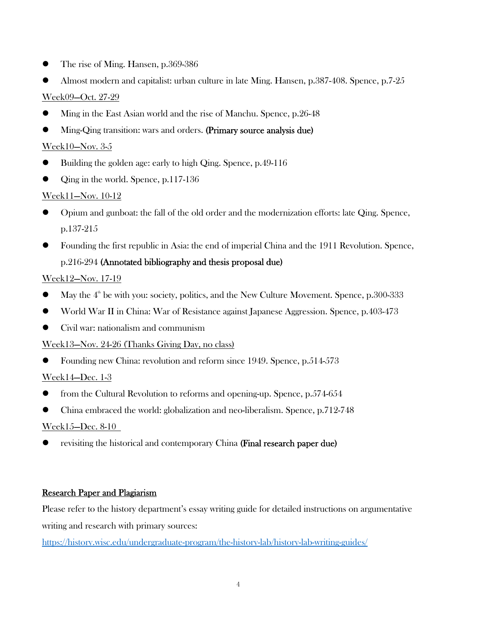- The rise of Ming. Hansen, p.369-386
- Almost modern and capitalist: urban culture in late Ming. Hansen, p.387-408. Spence, p.7-25 Week09—Oct. 27-29
- Ming in the East Asian world and the rise of Manchu. Spence, p.26-48
- Ming-Qing transition: wars and orders. (Primary source analysis due)

# Week10—Nov. 3-5

- Building the golden age: early to high Qing. Spence, p.49-116
- Qing in the world. Spence, p.117-136

# Week11—Nov. 10-12

- Opium and gunboat: the fall of the old order and the modernization efforts: late Qing. Spence, p.137-215
- Founding the first republic in Asia: the end of imperial China and the 1911 Revolution. Spence, p.216-294 (Annotated bibliography and thesis proposal due)

# Week12—Nov. 17-19

- May the  $4<sup>th</sup>$  be with you: society, politics, and the New Culture Movement. Spence, p.300-333
- World War II in China: War of Resistance against Japanese Aggression. Spence, p.403-473
- Civil war: nationalism and communism

# Week13—Nov. 24-26 (Thanks Giving Day, no class)

• Founding new China: revolution and reform since 1949. Spence, p.514-573

# Week14—Dec. 1-3

- from the Cultural Revolution to reforms and opening-up. Spence, p.574-654
- China embraced the world: globalization and neo-liberalism. Spence, p.712-748

# Week15—Dec. 8-10

• revisiting the historical and contemporary China (**Final research paper due**)

# Research Paper and Plagiarism

Please refer to the history department's essay writing guide for detailed instructions on argumentative writing and research with primary sources:

https://history.wisc.edu/undergraduate-program/the-history-lab/history-lab-writing-guides/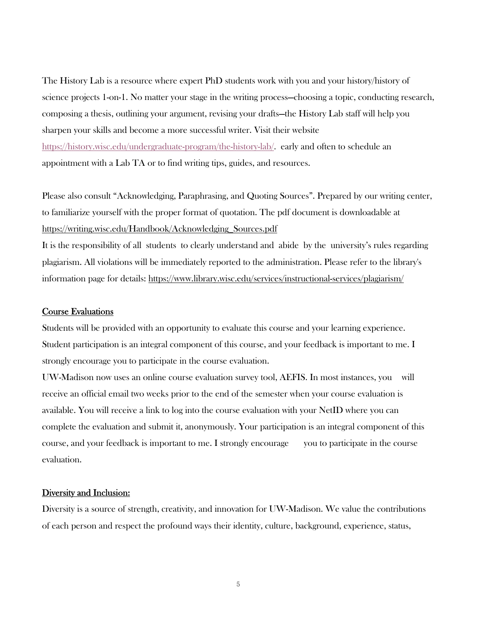The History Lab is a resource where expert PhD students work with you and your history/history of science projects 1-on-1. No matter your stage in the writing process—choosing a topic, conducting research, composing a thesis, outlining your argument, revising your drafts—the History Lab staff will help you sharpen your skills and become a more successful writer. Visit their website https://history.wisc.edu/undergraduate-program/the-history-lab/. early and often to schedule an appointment with a Lab TA or to find writing tips, guides, and resources.

Please also consult "Acknowledging, Paraphrasing, and Quoting Sources". Prepared by our writing center, to familiarize yourself with the proper format of quotation. The pdf document is downloadable at https://writing.wisc.edu/Handbook/Acknowledging\_Sources.pdf

It is the responsibility of all students to clearly understand and abide by the university's rules regarding plagiarism. All violations will be immediately reported to the administration. Please refer to the library's information page for details: https://www.library.wisc.edu/services/instructional-services/plagiarism/

#### Course Evaluations

Students will be provided with an opportunity to evaluate this course and your learning experience. Student participation is an integral component of this course, and your feedback is important to me. I strongly encourage you to participate in the course evaluation.

UW-Madison now uses an online course evaluation survey tool, AEFIS. In most instances, you will receive an official email two weeks prior to the end of the semester when your course evaluation is available. You will receive a link to log into the course evaluation with your NetID where you can complete the evaluation and submit it, anonymously. Your participation is an integral component of this course, and your feedback is important to me. I strongly encourage you to participate in the course evaluation.

#### Diversity and Inclusion:

Diversity is a source of strength, creativity, and innovation for UW-Madison. We value the contributions of each person and respect the profound ways their identity, culture, background, experience, status,

5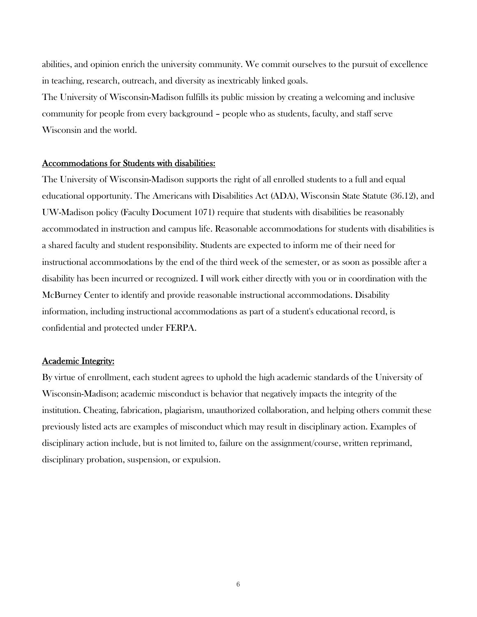abilities, and opinion enrich the university community. We commit ourselves to the pursuit of excellence in teaching, research, outreach, and diversity as inextricably linked goals.

The University of Wisconsin-Madison fulfills its public mission by creating a welcoming and inclusive community for people from every background – people who as students, faculty, and staff serve Wisconsin and the world.

#### Accommodations for Students with disabilities:

The University of Wisconsin-Madison supports the right of all enrolled students to a full and equal educational opportunity. The Americans with Disabilities Act (ADA), Wisconsin State Statute (36.12), and UW-Madison policy (Faculty Document 1071) require that students with disabilities be reasonably accommodated in instruction and campus life. Reasonable accommodations for students with disabilities is a shared faculty and student responsibility. Students are expected to inform me of their need for instructional accommodations by the end of the third week of the semester, or as soon as possible after a disability has been incurred or recognized. I will work either directly with you or in coordination with the McBurney Center to identify and provide reasonable instructional accommodations. Disability information, including instructional accommodations as part of a student's educational record, is confidential and protected under FERPA.

#### Academic Integrity:

By virtue of enrollment, each student agrees to uphold the high academic standards of the University of Wisconsin-Madison; academic misconduct is behavior that negatively impacts the integrity of the institution. Cheating, fabrication, plagiarism, unauthorized collaboration, and helping others commit these previously listed acts are examples of misconduct which may result in disciplinary action. Examples of disciplinary action include, but is not limited to, failure on the assignment/course, written reprimand, disciplinary probation, suspension, or expulsion.